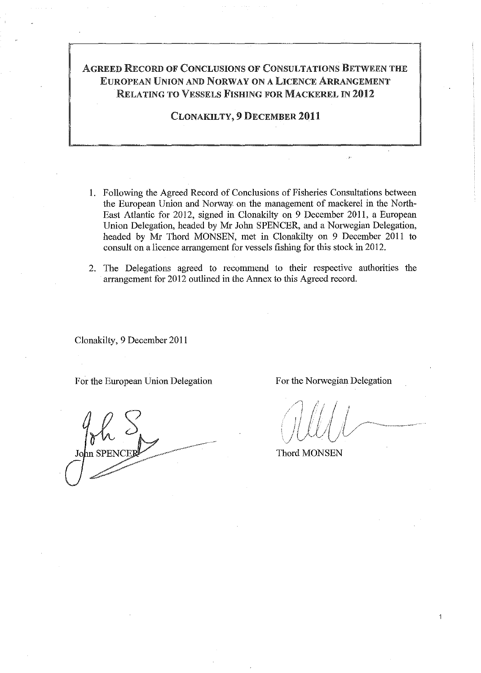## ÁGREED RECORD OF CONCLUSIONS OF CONSULTATIONS BETWEEN THE EUROPEAN UNION AND NORWAY ON A LICENCE ARRANGEMENT RELATING TO VESSELS FISHING FOR MACKEREL IN 2012

CLONAKILTY, 9 DECEMBER 2011

- I. Pollowing the Agreed Record of Conclusions of Fisheries Consnltations between the European Union and Norway on the management of mackerel in the North-East Atlantic for 2012, signed in Clonakilty on 9 December 2011, a European Union Delegation, headed by Mr John SPENCER, and a Norwegian Delegation, headed by Mr Thord MONSEN, met in Clonakilty on 9 December 2011 to consult on a licence arrangement for vessels fishing for this stock in 2012.
- 2. The Delegations agreed to recommend to their respective authorities the arrangement for 2012 outlined in the Annex to this Agreed record.

Clonakilty, 9 December 2011

For the European Union Delegation Por the Norwegian Delegation

1

Thord MONSEN